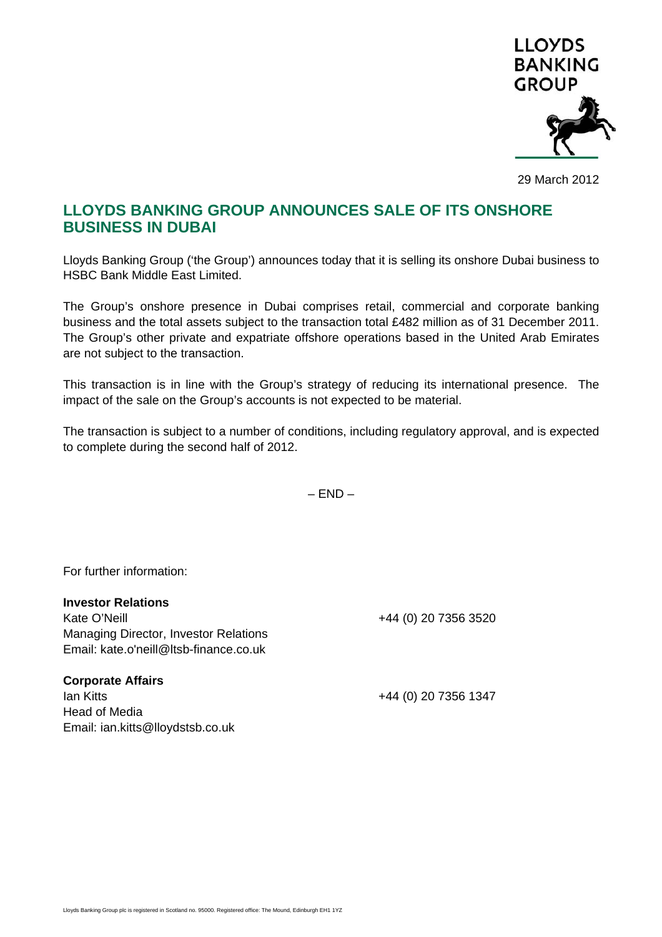

29 March 2012

## **LLOYDS BANKING GROUP ANNOUNCES SALE OF ITS ONSHORE BUSINESS IN DUBAI**

Lloyds Banking Group ('the Group') announces today that it is selling its onshore Dubai business to HSBC Bank Middle East Limited.

The Group's onshore presence in Dubai comprises retail, commercial and corporate banking business and the total assets subject to the transaction total £482 million as of 31 December 2011. The Group's other private and expatriate offshore operations based in the United Arab Emirates are not subject to the transaction.

This transaction is in line with the Group's strategy of reducing its international presence. The impact of the sale on the Group's accounts is not expected to be material.

The transaction is subject to a number of conditions, including regulatory approval, and is expected to complete during the second half of 2012.

 $-$  END  $-$ 

For further information:

**Investor Relations** 

Kate O'Neill +44 (0) 20 7356 3520 Managing Director, Investor Relations Email: kate.o'neill@ltsb-finance.co.uk

**Corporate Affairs**  Ian Kitts +44 (0) 20 7356 1347 Head of Media Email: ian.kitts@lloydstsb.co.uk